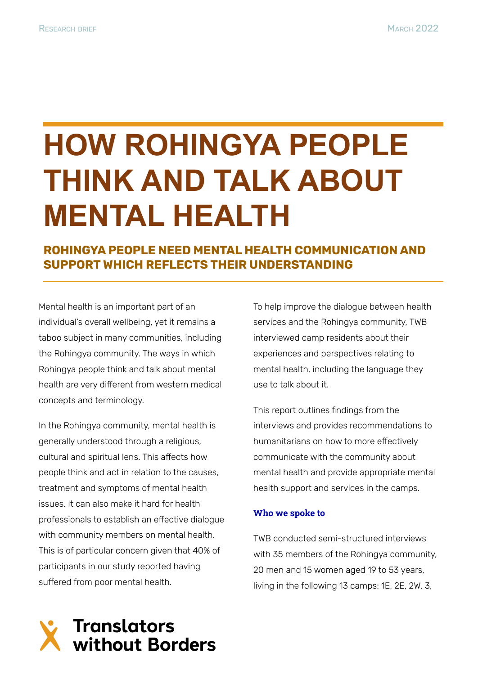# **HOW ROHINGYA PEOPLE THINK AND TALK ABOUT MENTAL HEALTH**

**ROHINGYA PEOPLE NEED MENTAL HEALTH COMMUNICATION AND SUPPORT WHICH REFLECTS THEIR UNDERSTANDING**

Mental health is an important part of an individual's overall wellbeing, yet it remains a taboo subject in many communities, including the Rohingya community. The ways in which Rohingya people think and talk about mental health are very different from western medical concepts and terminology.

In the Rohingya community, mental health is generally understood through a religious, cultural and spiritual lens. This affects how people think and act in relation to the causes, treatment and symptoms of mental health issues. It can also make it hard for health professionals to establish an effective dialogue with community members on mental health. This is of particular concern given that 40% of participants in our study reported having suffered from poor mental health.

To help improve the dialogue between health services and the Rohingya community, TWB interviewed camp residents about their experiences and perspectives relating to mental health, including the language they use to talk about it.

This report outlines findings from the interviews and provides recommendations to humanitarians on how to more effectively communicate with the community about mental health and provide appropriate mental health support and services in the camps.

#### **Who we spoke to**

TWB conducted semi-structured interviews with 35 members of the Rohingya community, 20 men and 15 women aged 19 to 53 years, living in the following 13 camps: 1E, 2E, 2W, 3,

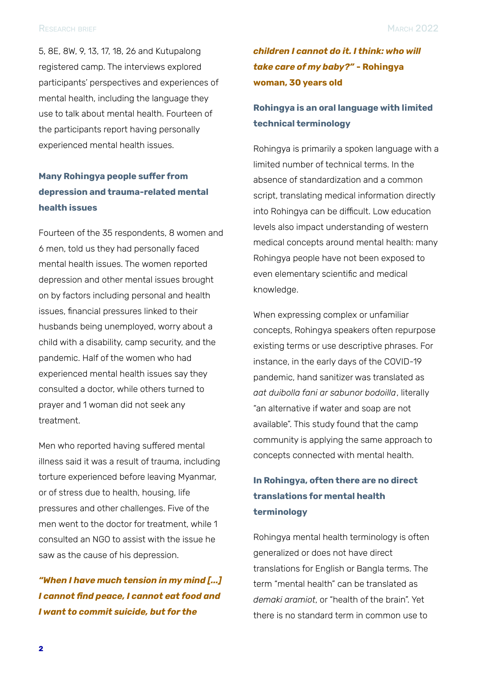5, 8E, 8W, 9, 13, 17, 18, 26 and Kutupalong registered camp. The interviews explored participants' perspectives and experiences of mental health, including the language they use to talk about mental health. Fourteen of the participants report having personally experienced mental health issues.

### **Many Rohingya people suffer from depression and trauma-related mental health issues**

Fourteen of the 35 respondents, 8 women and 6 men, told us they had personally faced mental health issues. The women reported depression and other mental issues brought on by factors including personal and health issues, financial pressures linked to their husbands being unemployed, worry about a child with a disability, camp security, and the pandemic. Half of the women who had experienced mental health issues say they consulted a doctor, while others turned to prayer and 1 woman did not seek any treatment.

Men who reported having suffered mental illness said it was a result of trauma, including torture experienced before leaving Myanmar, or of stress due to health, housing, life pressures and other challenges. Five of the men went to the doctor for treatment, while 1 consulted an NGO to assist with the issue he saw as the cause of his depression.

#### *"When I have much tension in my mind [...] I cannot find peace, I cannot eat food and I want to commit suicide, but for the*

# *children I cannot do it. I think: who will take care of my baby?"* **- Rohingya woman, 30 years old**

### **Rohingya is an oral language with limited technical terminology**

Rohingya is primarily a spoken language with a limited number of technical terms. In the absence of standardization and a common script, translating medical information directly into Rohingya can be difficult. Low education levels also impact understanding of western medical concepts around mental health: many Rohingya people have not been exposed to even elementary scientific and medical knowledge.

When expressing complex or unfamiliar concepts, Rohingya speakers often repurpose existing terms or use descriptive phrases. For instance, in the early days of the COVID-19 pandemic, hand sanitizer was translated as *aat duibolla fani ar sabunor bodoilla*, literally "an alternative if water and soap are not available". This study found that the camp community is applying the same approach to concepts connected with mental health.

# **In Rohingya, often there are no direct translations for mental health terminology**

Rohingya mental health terminology is often generalized or does not have direct translations for English or Bangla terms. The term "mental health" can be translated as *demaki aramiot*, or "health of the brain". Yet there is no standard term in common use to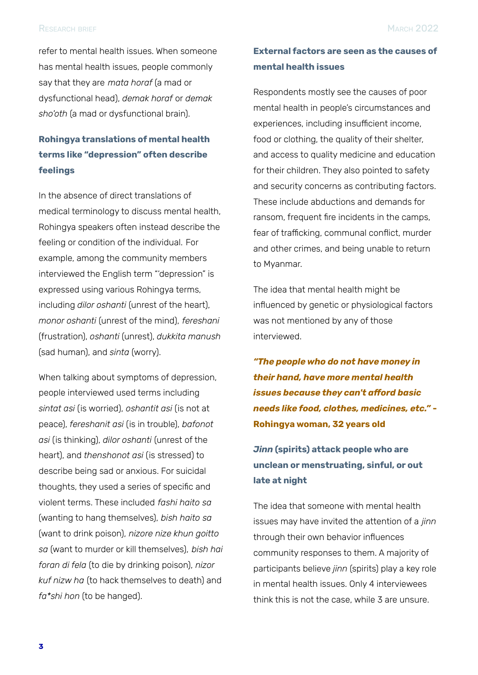refer to mental health issues. When someone has mental health issues, people commonly say that they are *mata horaf* (a mad or dysfunctional head), *demak horaf* or *demak sho'oth* (a mad or dysfunctional brain).

#### **Rohingya translations of mental health terms like "depression" often describe feelings**

In the absence of direct translations of medical terminology to discuss mental health, Rohingya speakers often instead describe the feeling or condition of the individual. For example, among the community members interviewed the English term "'depression" is expressed using various Rohingya terms, including *dilor oshanti* (unrest of the heart), *monor oshanti* (unrest of the mind), *fereshani* (frustration), *oshanti* (unrest), *dukkita manush* (sad human), and *sinta* (worry).

When talking about symptoms of depression, people interviewed used terms including *sintat asi* (is worried), *oshantit asi* (is not at peace), *fereshanit asi* (is in trouble), *bafonot asi* (is thinking), *dilor oshanti* (unrest of the heart), and *thenshonot asi* (is stressed) to describe being sad or anxious. For suicidal thoughts, they used a series of specific and violent terms. These included *fashi haito sa* (wanting to hang themselves), *bish haito sa* (want to drink poison), *nizore nize khun goitto sa* (want to murder or kill themselves), *bish hai foran di fela* (to die by drinking poison), *nizor kuf nizw ha* (to hack themselves to death) and *fa\*shi hon* (to be hanged).

#### **External factors are seen as the causes of mental health issues**

Respondents mostly see the causes of poor mental health in people's circumstances and experiences, including insufficient income, food or clothing, the quality of their shelter, and access to quality medicine and education for their children. They also pointed to safety and security concerns as contributing factors. These include abductions and demands for ransom, frequent fire incidents in the camps, fear of trafficking, communal conflict, murder and other crimes, and being unable to return to Myanmar.

The idea that mental health might be influenced by genetic or physiological factors was not mentioned by any of those interviewed.

*"The people who do not have money in their hand, have more mental health issues because they can't afford basic needs like food, clothes, medicines, etc."* **- Rohingya woman, 32 years old**

# *Jinn* **(spirits) attack people who are unclean or menstruating, sinful, or out late at night**

The idea that someone with mental health issues may have invited the attention of a *jinn* through their own behavior influences community responses to them. A majority of participants believe *jinn* (spirits) play a key role in mental health issues. Only 4 interviewees think this is not the case, while 3 are unsure.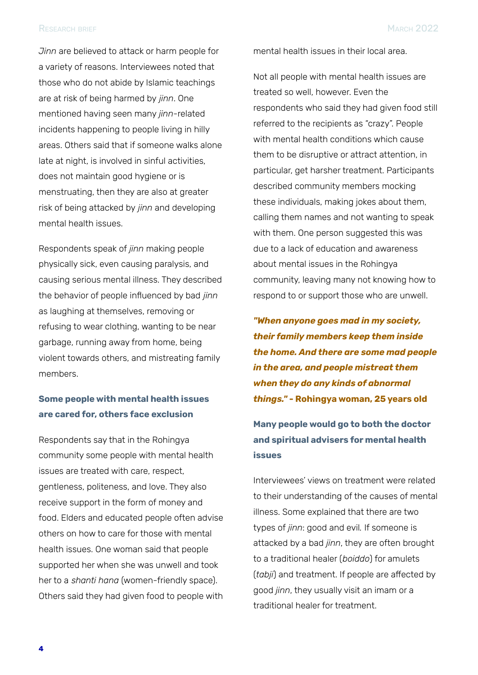*Jinn* are believed to attack or harm people for a variety of reasons. Interviewees noted that those who do not abide by Islamic teachings are at risk of being harmed by *jinn*. One mentioned having seen many *jinn*-related incidents happening to people living in hilly areas. Others said that if someone walks alone late at night, is involved in sinful activities, does not maintain good hygiene or is menstruating, then they are also at greater risk of being attacked by *jinn* and developing mental health issues.

Respondents speak of *jinn* making people physically sick, even causing paralysis, and causing serious mental illness. They described the behavior of people influenced by bad *jinn* as laughing at themselves, removing or refusing to wear clothing, wanting to be near garbage, running away from home, being violent towards others, and mistreating family members.

#### **Some people with mental health issues are cared for, others face exclusion**

Respondents say that in the Rohingya community some people with mental health issues are treated with care, respect, gentleness, politeness, and love. They also receive support in the form of money and food. Elders and educated people often advise others on how to care for those with mental health issues. One woman said that people supported her when she was unwell and took her to a *shanti hana* (women-friendly space). Others said they had given food to people with

mental health issues in their local area.

Not all people with mental health issues are treated so well, however. Even the respondents who said they had given food still referred to the recipients as "crazy". People with mental health conditions which cause them to be disruptive or attract attention, in particular, get harsher treatment. Participants described community members mocking these individuals, making jokes about them, calling them names and not wanting to speak with them. One person suggested this was due to a lack of education and awareness about mental issues in the Rohingya community, leaving many not knowing how to respond to or support those who are unwell.

*"When anyone goes mad in my society, their family members keep them inside the home. And there are some mad people in the area, and people mistreat them when they do any kinds of abnormal things."* **- Rohingya woman, 25 years old**

**Many people would go to both the doctor and spiritual advisers for mental health issues**

Interviewees' views on treatment were related to their understanding of the causes of mental illness. Some explained that there are two types of *jinn*: good and evil*.* If someone is attacked by a bad *jinn*, they are often brought to a traditional healer (*boiddo*) for amulets (*tabji*) and treatment. If people are affected by good *jinn*, they usually visit an imam or a traditional healer for treatment.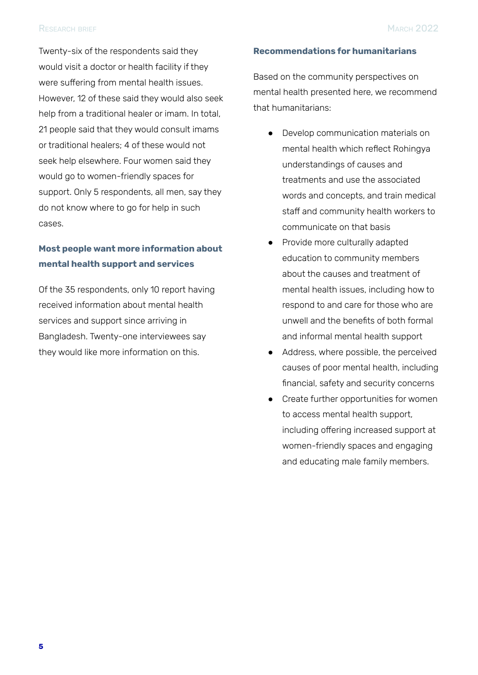Twenty-six of the respondents said they would visit a doctor or health facility if they were suffering from mental health issues. However, 12 of these said they would also seek help from a traditional healer or imam. In total, 21 people said that they would consult imams or traditional healers; 4 of these would not seek help elsewhere. Four women said they would go to women-friendly spaces for support. Only 5 respondents, all men, say they do not know where to go for help in such cases.

#### **Most people want more information about mental health support and services**

Of the 35 respondents, only 10 report having received information about mental health services and support since arriving in Bangladesh. Twenty-one interviewees say they would like more information on this.

#### **Recommendations for humanitarians**

Based on the community perspectives on mental health presented here, we recommend that humanitarians:

- Develop communication materials on mental health which reflect Rohingya understandings of causes and treatments and use the associated words and concepts, and train medical staff and community health workers to communicate on that basis
- Provide more culturally adapted education to community members about the causes and treatment of mental health issues, including how to respond to and care for those who are unwell and the benefits of both formal and informal mental health support
- Address, where possible, the perceived causes of poor mental health, including financial, safety and security concerns
- Create further opportunities for women to access mental health support, including offering increased support at women-friendly spaces and engaging and educating male family members.